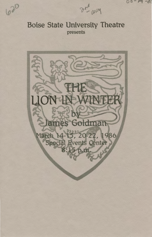$2r_{\mathrm{A}}^{2}$  1064

 $03 - 14 - 01$ 

# **Boise State University Theatre** presents

620

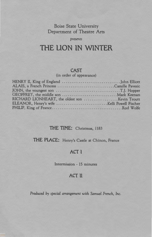Boise State University Department of Theatre Arts

#### *presents*

# **THE LlON lN WINTER**

#### **CAST**

(in order of appearance)

#### **THE TIME:** Christmas, 1183

#### **THE PlACE:** Henry's Castle at Chinon, France

# **ACT l**

Intermission - 15 minutes

## **ACT ll**

*Produced by special arrangement with Samuel French,* Inc.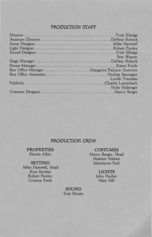# **PRODUCTION STAFF**

|                                               | Pete Weaver<br>TOO AREA A PARTIES TO LAR |
|-----------------------------------------------|------------------------------------------|
|                                               |                                          |
|                                               |                                          |
| Box Office Manager  Margarita DeLeon Guerrero |                                          |
|                                               |                                          |
|                                               | Lucille Tracadas                         |
|                                               |                                          |
|                                               | Holly Holsinger                          |
|                                               |                                          |
|                                               |                                          |

#### **PRODUCTION CREW**

**PROPERTIES**  Kirstin Allen

**SETTING**  Mike Hartwell, Head Kurt Strobel Robert Parsley Cristina Poole

**COSTUMES**  Nancy Berger, Head Heather Nisbett Marrianne Paul

> **LIGHTS**  John Hadley Matt Hill

**SOUND**  Tom Kinsey